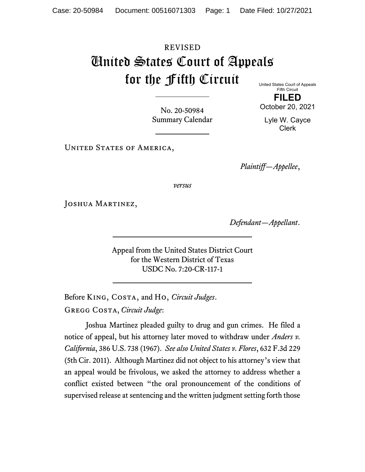## REVISED United States Court of Appeals for the Fifth Circuit

United States Court of Appeals Fifth Circuit **FILED**

No. 20-50984 Summary Calendar

Lyle W. Cayce Clerk

October 20, 2021

UNITED STATES OF AMERICA,

*Plaintiff—Appellee*,

*versus*

Joshua Martinez,

*Defendant—Appellant*.

Appeal from the United States District Court for the Western District of Texas USDC No. 7:20-CR-117-1

Before King, Costa, and Ho, *Circuit Judges*. Gregg Costa, *Circuit Judge*:

Joshua Martinez pleaded guilty to drug and gun crimes. He filed a notice of appeal, but his attorney later moved to withdraw under *Anders v. California*, 386 U.S. 738 (1967). *See also United States v. Flores*, 632 F.3d 229 (5th Cir. 2011). Although Martinez did not object to his attorney's view that an appeal would be frivolous, we asked the attorney to address whether a conflict existed between "the oral pronouncement of the conditions of supervised release at sentencing and the written judgment setting forth those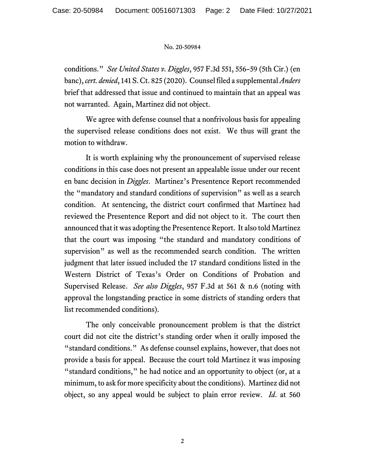## No. 20-50984

conditions." *See United States v. Diggles*, 957 F.3d 551, 556–59 (5th Cir.) (en banc), *cert. denied*, 141 S. Ct. 825 (2020). Counsel filed a supplemental *Anders*  brief that addressed that issue and continued to maintain that an appeal was not warranted. Again, Martinez did not object.

We agree with defense counsel that a nonfrivolous basis for appealing the supervised release conditions does not exist. We thus will grant the motion to withdraw.

It is worth explaining why the pronouncement of supervised release conditions in this case does not present an appealable issue under our recent en banc decision in *Diggles*. Martinez's Presentence Report recommended the "mandatory and standard conditions of supervision" as well as a search condition. At sentencing, the district court confirmed that Martinez had reviewed the Presentence Report and did not object to it. The court then announced that it was adopting the Presentence Report. It also told Martinez that the court was imposing "the standard and mandatory conditions of supervision" as well as the recommended search condition. The written judgment that later issued included the 17 standard conditions listed in the Western District of Texas's Order on Conditions of Probation and Supervised Release. *See also Diggles*, 957 F.3d at 561 & n.6 (noting with approval the longstanding practice in some districts of standing orders that list recommended conditions).

The only conceivable pronouncement problem is that the district court did not cite the district's standing order when it orally imposed the "standard conditions." As defense counsel explains, however, that does not provide a basis for appeal. Because the court told Martinez it was imposing "standard conditions," he had notice and an opportunity to object (or, at a minimum, to ask for more specificity about the conditions). Martinez did not object, so any appeal would be subject to plain error review. *Id*. at 560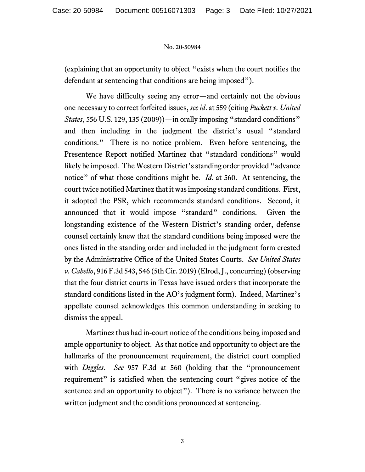## No. 20-50984

(explaining that an opportunity to object "exists when the court notifies the defendant at sentencing that conditions are being imposed").

We have difficulty seeing any error—and certainly not the obvious one necessary to correct forfeited issues, *see id*. at 559 (citing *Puckett v. United States*, 556 U.S. 129, 135 (2009))—in orally imposing "standard conditions" and then including in the judgment the district's usual "standard conditions." There is no notice problem. Even before sentencing, the Presentence Report notified Martinez that "standard conditions" would likely be imposed. The Western District's standing order provided "advance notice" of what those conditions might be. *Id*. at 560. At sentencing, the court twice notified Martinez that it was imposing standard conditions. First, it adopted the PSR, which recommends standard conditions. Second, it announced that it would impose "standard" conditions. Given the longstanding existence of the Western District's standing order, defense counsel certainly knew that the standard conditions being imposed were the ones listed in the standing order and included in the judgment form created by the Administrative Office of the United States Courts. *See United States v. Cabello*, 916 F.3d 543, 546 (5th Cir. 2019) (Elrod, J., concurring) (observing that the four district courts in Texas have issued orders that incorporate the standard conditions listed in the AO's judgment form). Indeed, Martinez's appellate counsel acknowledges this common understanding in seeking to dismiss the appeal.

Martinez thus had in-court notice of the conditions being imposed and ample opportunity to object. As that notice and opportunity to object are the hallmarks of the pronouncement requirement, the district court complied with *Diggles*. *See* 957 F.3d at 560 (holding that the "pronouncement requirement" is satisfied when the sentencing court "gives notice of the sentence and an opportunity to object"). There is no variance between the written judgment and the conditions pronounced at sentencing.